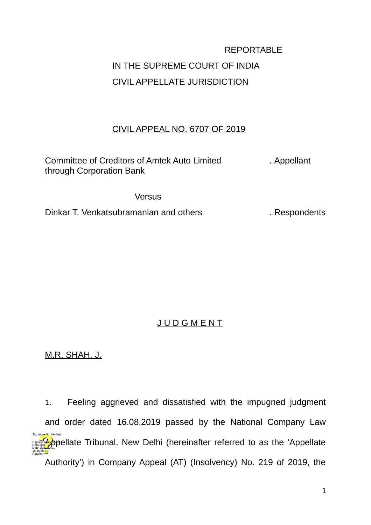## REPORTABLE IN THE SUPREME COURT OF INDIA CIVIL APPELLATE JURISDICTION

## CIVIL APPEAL NO. 6707 OF 2019

Committee of Creditors of Amtek Auto Limited ..Appellant through Corporation Bank

## **Versus**

Dinkar T. Venkatsubramanian and others ... Respondents

## J U D G M E N T

M.R. SHAH, J.

1. Feeling aggrieved and dissatisfied with the impugned judgment and order dated 16.08.2019 passed by the National Company Law **Digitally signed papellate Tribunal, New Delhi (hereinafter referred to as the 'Appellate** Authority') in Company Appeal (AT) (Insolvency) No. 219 of 2019, the Natarajan Date: 2021.12.01 16:36:56 IST Reason: Signature Not Verified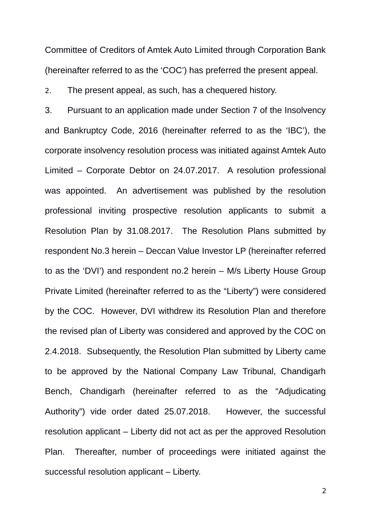Committee of Creditors of Amtek Auto Limited through Corporation Bank (hereinafter referred to as the 'COC') has preferred the present appeal.

2. The present appeal, as such, has a chequered history.

3. Pursuant to an application made under Section 7 of the Insolvency and Bankruptcy Code, 2016 (hereinafter referred to as the 'IBC'), the corporate insolvency resolution process was initiated against Amtek Auto Limited – Corporate Debtor on 24.07.2017. A resolution professional was appointed. An advertisement was published by the resolution professional inviting prospective resolution applicants to submit a Resolution Plan by 31.08.2017. The Resolution Plans submitted by respondent No.3 herein – Deccan Value Investor LP (hereinafter referred to as the 'DVI') and respondent no.2 herein – M/s Liberty House Group Private Limited (hereinafter referred to as the "Liberty") were considered by the COC. However, DVI withdrew its Resolution Plan and therefore the revised plan of Liberty was considered and approved by the COC on 2.4.2018. Subsequently, the Resolution Plan submitted by Liberty came to be approved by the National Company Law Tribunal, Chandigarh Bench, Chandigarh (hereinafter referred to as the "Adjudicating Authority") vide order dated 25.07.2018. However, the successful resolution applicant – Liberty did not act as per the approved Resolution Plan. Thereafter, number of proceedings were initiated against the successful resolution applicant – Liberty.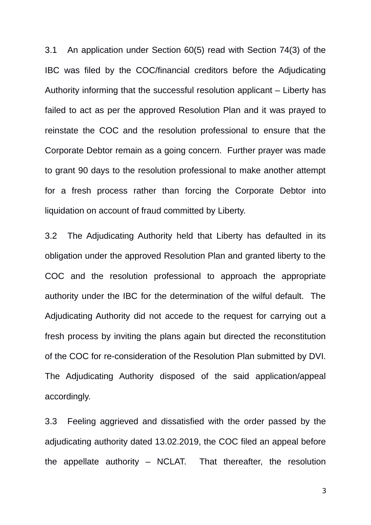3.1 An application under Section 60(5) read with Section 74(3) of the IBC was filed by the COC/financial creditors before the Adjudicating Authority informing that the successful resolution applicant – Liberty has failed to act as per the approved Resolution Plan and it was prayed to reinstate the COC and the resolution professional to ensure that the Corporate Debtor remain as a going concern. Further prayer was made to grant 90 days to the resolution professional to make another attempt for a fresh process rather than forcing the Corporate Debtor into liquidation on account of fraud committed by Liberty.

3.2 The Adjudicating Authority held that Liberty has defaulted in its obligation under the approved Resolution Plan and granted liberty to the COC and the resolution professional to approach the appropriate authority under the IBC for the determination of the wilful default. The Adjudicating Authority did not accede to the request for carrying out a fresh process by inviting the plans again but directed the reconstitution of the COC for re-consideration of the Resolution Plan submitted by DVI. The Adjudicating Authority disposed of the said application/appeal accordingly.

3.3 Feeling aggrieved and dissatisfied with the order passed by the adjudicating authority dated 13.02.2019, the COC filed an appeal before the appellate authority – NCLAT. That thereafter, the resolution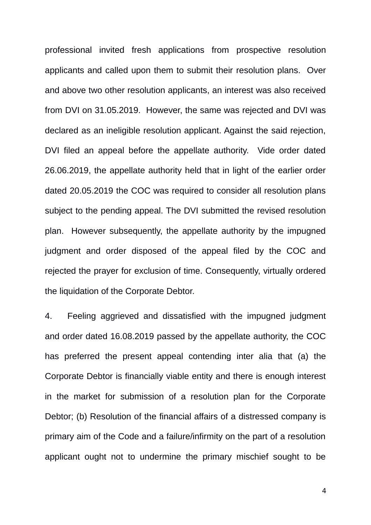professional invited fresh applications from prospective resolution applicants and called upon them to submit their resolution plans. Over and above two other resolution applicants, an interest was also received from DVI on 31.05.2019. However, the same was rejected and DVI was declared as an ineligible resolution applicant. Against the said rejection, DVI filed an appeal before the appellate authority. Vide order dated 26.06.2019, the appellate authority held that in light of the earlier order dated 20.05.2019 the COC was required to consider all resolution plans subject to the pending appeal. The DVI submitted the revised resolution plan. However subsequently, the appellate authority by the impugned judgment and order disposed of the appeal filed by the COC and rejected the prayer for exclusion of time. Consequently, virtually ordered the liquidation of the Corporate Debtor.

4. Feeling aggrieved and dissatisfied with the impugned judgment and order dated 16.08.2019 passed by the appellate authority, the COC has preferred the present appeal contending inter alia that (a) the Corporate Debtor is financially viable entity and there is enough interest in the market for submission of a resolution plan for the Corporate Debtor; (b) Resolution of the financial affairs of a distressed company is primary aim of the Code and a failure/infirmity on the part of a resolution applicant ought not to undermine the primary mischief sought to be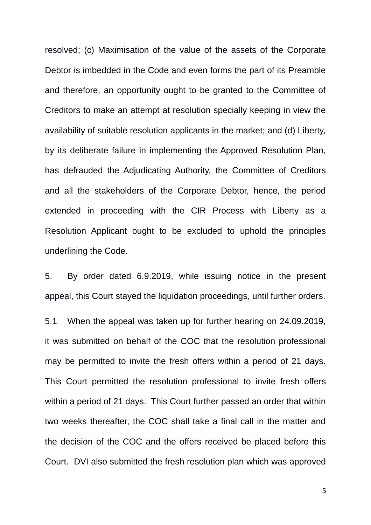resolved; (c) Maximisation of the value of the assets of the Corporate Debtor is imbedded in the Code and even forms the part of its Preamble and therefore, an opportunity ought to be granted to the Committee of Creditors to make an attempt at resolution specially keeping in view the availability of suitable resolution applicants in the market; and (d) Liberty, by its deliberate failure in implementing the Approved Resolution Plan, has defrauded the Adjudicating Authority, the Committee of Creditors and all the stakeholders of the Corporate Debtor, hence, the period extended in proceeding with the CIR Process with Liberty as a Resolution Applicant ought to be excluded to uphold the principles underlining the Code.

5. By order dated 6.9.2019, while issuing notice in the present appeal, this Court stayed the liquidation proceedings, until further orders.

5.1 When the appeal was taken up for further hearing on 24.09.2019, it was submitted on behalf of the COC that the resolution professional may be permitted to invite the fresh offers within a period of 21 days. This Court permitted the resolution professional to invite fresh offers within a period of 21 days. This Court further passed an order that within two weeks thereafter, the COC shall take a final call in the matter and the decision of the COC and the offers received be placed before this Court. DVI also submitted the fresh resolution plan which was approved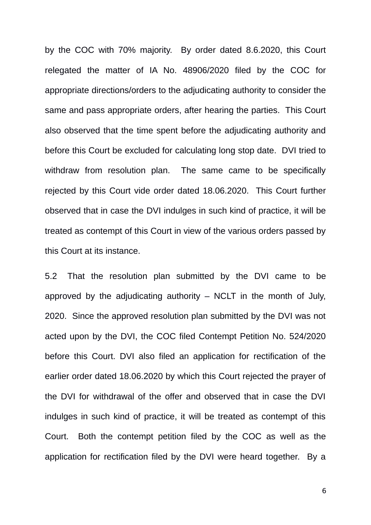by the COC with 70% majority. By order dated 8.6.2020, this Court relegated the matter of IA No. 48906/2020 filed by the COC for appropriate directions/orders to the adjudicating authority to consider the same and pass appropriate orders, after hearing the parties. This Court also observed that the time spent before the adjudicating authority and before this Court be excluded for calculating long stop date. DVI tried to withdraw from resolution plan. The same came to be specifically rejected by this Court vide order dated 18.06.2020. This Court further observed that in case the DVI indulges in such kind of practice, it will be treated as contempt of this Court in view of the various orders passed by this Court at its instance.

5.2 That the resolution plan submitted by the DVI came to be approved by the adjudicating authority  $-$  NCLT in the month of July, 2020. Since the approved resolution plan submitted by the DVI was not acted upon by the DVI, the COC filed Contempt Petition No. 524/2020 before this Court. DVI also filed an application for rectification of the earlier order dated 18.06.2020 by which this Court rejected the prayer of the DVI for withdrawal of the offer and observed that in case the DVI indulges in such kind of practice, it will be treated as contempt of this Court. Both the contempt petition filed by the COC as well as the application for rectification filed by the DVI were heard together. By a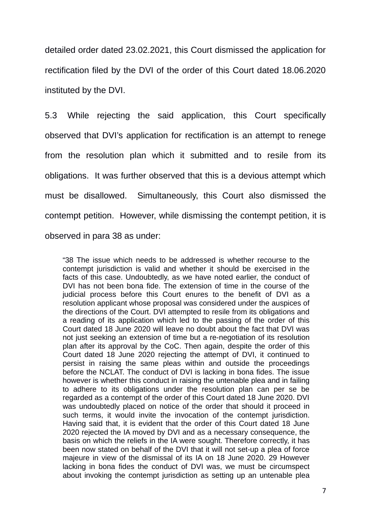detailed order dated 23.02.2021, this Court dismissed the application for rectification filed by the DVI of the order of this Court dated 18.06.2020 instituted by the DVI.

5.3 While rejecting the said application, this Court specifically observed that DVI's application for rectification is an attempt to renege from the resolution plan which it submitted and to resile from its obligations. It was further observed that this is a devious attempt which must be disallowed. Simultaneously, this Court also dismissed the contempt petition. However, while dismissing the contempt petition, it is observed in para 38 as under:

"38 The issue which needs to be addressed is whether recourse to the contempt jurisdiction is valid and whether it should be exercised in the facts of this case. Undoubtedly, as we have noted earlier, the conduct of DVI has not been bona fide. The extension of time in the course of the judicial process before this Court enures to the benefit of DVI as a resolution applicant whose proposal was considered under the auspices of the directions of the Court. DVI attempted to resile from its obligations and a reading of its application which led to the passing of the order of this Court dated 18 June 2020 will leave no doubt about the fact that DVI was not just seeking an extension of time but a re-negotiation of its resolution plan after its approval by the CoC. Then again, despite the order of this Court dated 18 June 2020 rejecting the attempt of DVI, it continued to persist in raising the same pleas within and outside the proceedings before the NCLAT. The conduct of DVI is lacking in bona fides. The issue however is whether this conduct in raising the untenable plea and in failing to adhere to its obligations under the resolution plan can per se be regarded as a contempt of the order of this Court dated 18 June 2020. DVI was undoubtedly placed on notice of the order that should it proceed in such terms, it would invite the invocation of the contempt jurisdiction. Having said that, it is evident that the order of this Court dated 18 June 2020 rejected the IA moved by DVI and as a necessary consequence, the basis on which the reliefs in the IA were sought. Therefore correctly, it has been now stated on behalf of the DVI that it will not set-up a plea of force majeure in view of the dismissal of its IA on 18 June 2020. 29 However lacking in bona fides the conduct of DVI was, we must be circumspect about invoking the contempt jurisdiction as setting up an untenable plea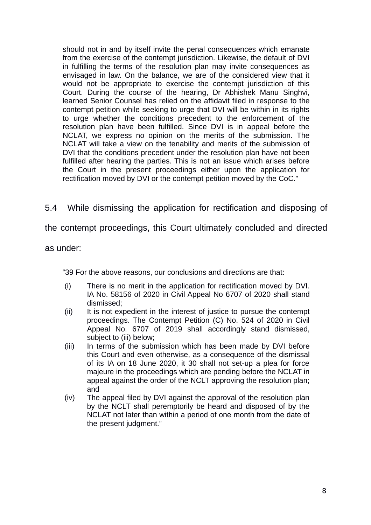should not in and by itself invite the penal consequences which emanate from the exercise of the contempt jurisdiction. Likewise, the default of DVI in fulfilling the terms of the resolution plan may invite consequences as envisaged in law. On the balance, we are of the considered view that it would not be appropriate to exercise the contempt jurisdiction of this Court. During the course of the hearing, Dr Abhishek Manu Singhvi, learned Senior Counsel has relied on the affidavit filed in response to the contempt petition while seeking to urge that DVI will be within in its rights to urge whether the conditions precedent to the enforcement of the resolution plan have been fulfilled. Since DVI is in appeal before the NCLAT, we express no opinion on the merits of the submission. The NCLAT will take a view on the tenability and merits of the submission of DVI that the conditions precedent under the resolution plan have not been fulfilled after hearing the parties. This is not an issue which arises before the Court in the present proceedings either upon the application for rectification moved by DVI or the contempt petition moved by the CoC."

5.4 While dismissing the application for rectification and disposing of

the contempt proceedings, this Court ultimately concluded and directed

as under:

"39 For the above reasons, our conclusions and directions are that:

- (i) There is no merit in the application for rectification moved by DVI. IA No. 58156 of 2020 in Civil Appeal No 6707 of 2020 shall stand dismissed;
- (ii) It is not expedient in the interest of justice to pursue the contempt proceedings. The Contempt Petition (C) No. 524 of 2020 in Civil Appeal No. 6707 of 2019 shall accordingly stand dismissed, subject to (iii) below:
- (iii) In terms of the submission which has been made by DVI before this Court and even otherwise, as a consequence of the dismissal of its IA on 18 June 2020, it 30 shall not set-up a plea for force majeure in the proceedings which are pending before the NCLAT in appeal against the order of the NCLT approving the resolution plan; and
- (iv) The appeal filed by DVI against the approval of the resolution plan by the NCLT shall peremptorily be heard and disposed of by the NCLAT not later than within a period of one month from the date of the present judament."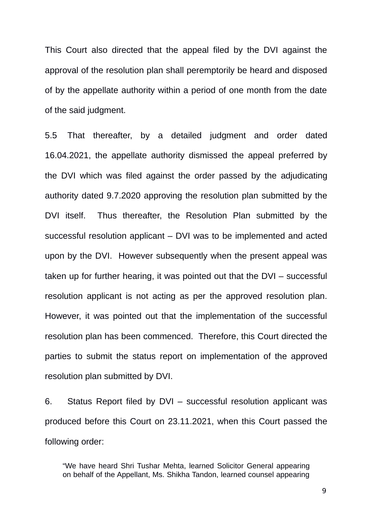This Court also directed that the appeal filed by the DVI against the approval of the resolution plan shall peremptorily be heard and disposed of by the appellate authority within a period of one month from the date of the said judgment.

5.5 That thereafter, by a detailed judgment and order dated 16.04.2021, the appellate authority dismissed the appeal preferred by the DVI which was filed against the order passed by the adjudicating authority dated 9.7.2020 approving the resolution plan submitted by the DVI itself. Thus thereafter, the Resolution Plan submitted by the successful resolution applicant – DVI was to be implemented and acted upon by the DVI. However subsequently when the present appeal was taken up for further hearing, it was pointed out that the DVI – successful resolution applicant is not acting as per the approved resolution plan. However, it was pointed out that the implementation of the successful resolution plan has been commenced. Therefore, this Court directed the parties to submit the status report on implementation of the approved resolution plan submitted by DVI.

6. Status Report filed by DVI – successful resolution applicant was produced before this Court on 23.11.2021, when this Court passed the following order:

"We have heard Shri Tushar Mehta, learned Solicitor General appearing on behalf of the Appellant, Ms. Shikha Tandon, learned counsel appearing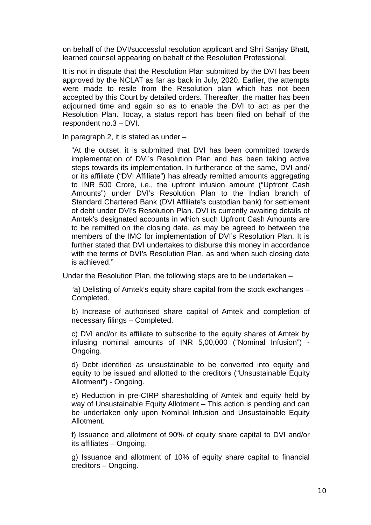on behalf of the DVI/successful resolution applicant and Shri Sanjay Bhatt, learned counsel appearing on behalf of the Resolution Professional.

It is not in dispute that the Resolution Plan submitted by the DVI has been approved by the NCLAT as far as back in July, 2020. Earlier, the attempts were made to resile from the Resolution plan which has not been accepted by this Court by detailed orders. Thereafter, the matter has been adjourned time and again so as to enable the DVI to act as per the Resolution Plan. Today, a status report has been filed on behalf of the respondent no.3 – DVI.

In paragraph 2, it is stated as under –

"At the outset, it is submitted that DVI has been committed towards implementation of DVI's Resolution Plan and has been taking active steps towards its implementation. In furtherance of the same, DVI and/ or its affiliate ("DVI Affiliate") has already remitted amounts aggregating to INR 500 Crore, i.e., the upfront infusion amount ("Upfront Cash Amounts") under DVI's Resolution Plan to the Indian branch of Standard Chartered Bank (DVI Affiliate's custodian bank) for settlement of debt under DVI's Resolution Plan. DVI is currently awaiting details of Amtek's designated accounts in which such Upfront Cash Amounts are to be remitted on the closing date, as may be agreed to between the members of the IMC for implementation of DVI's Resolution Plan. It is further stated that DVI undertakes to disburse this money in accordance with the terms of DVI's Resolution Plan, as and when such closing date is achieved."

Under the Resolution Plan, the following steps are to be undertaken –

"a) Delisting of Amtek's equity share capital from the stock exchanges – Completed.

b) Increase of authorised share capital of Amtek and completion of necessary filings – Completed.

c) DVI and/or its affiliate to subscribe to the equity shares of Amtek by infusing nominal amounts of INR 5,00,000 ("Nominal Infusion") - Ongoing.

d) Debt identified as unsustainable to be converted into equity and equity to be issued and allotted to the creditors ("Unsustainable Equity Allotment") - Ongoing.

e) Reduction in pre-CIRP sharesholding of Amtek and equity held by way of Unsustainable Equity Allotment – This action is pending and can be undertaken only upon Nominal Infusion and Unsustainable Equity Allotment.

f) Issuance and allotment of 90% of equity share capital to DVI and/or its affiliates – Ongoing.

g) Issuance and allotment of 10% of equity share capital to financial creditors – Ongoing.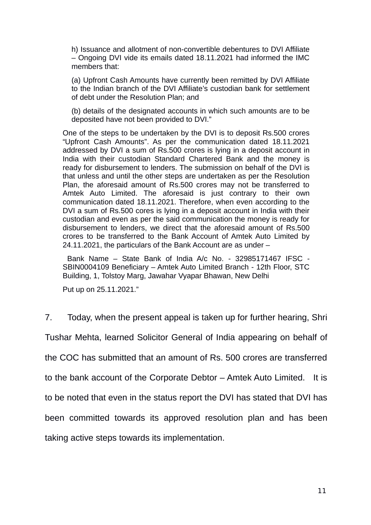h) Issuance and allotment of non-convertible debentures to DVI Affiliate – Ongoing DVI vide its emails dated 18.11.2021 had informed the IMC members that:

(a) Upfront Cash Amounts have currently been remitted by DVI Affiliate to the Indian branch of the DVI Affiliate's custodian bank for settlement of debt under the Resolution Plan; and

(b) details of the designated accounts in which such amounts are to be deposited have not been provided to DVI."

One of the steps to be undertaken by the DVI is to deposit Rs.500 crores "Upfront Cash Amounts". As per the communication dated 18.11.2021 addressed by DVI a sum of Rs.500 crores is lying in a deposit account in India with their custodian Standard Chartered Bank and the money is ready for disbursement to lenders. The submission on behalf of the DVI is that unless and until the other steps are undertaken as per the Resolution Plan, the aforesaid amount of Rs.500 crores may not be transferred to Amtek Auto Limited. The aforesaid is just contrary to their own communication dated 18.11.2021. Therefore, when even according to the DVI a sum of Rs.500 cores is lying in a deposit account in India with their custodian and even as per the said communication the money is ready for disbursement to lenders, we direct that the aforesaid amount of Rs.500 crores to be transferred to the Bank Account of Amtek Auto Limited by 24.11.2021, the particulars of the Bank Account are as under –

 Bank Name – State Bank of India A/c No. - 32985171467 IFSC - SBIN0004109 Beneficiary – Amtek Auto Limited Branch - 12th Floor, STC Building, 1, Tolstoy Marg, Jawahar Vyapar Bhawan, New Delhi

Put up on 25.11.2021."

7. Today, when the present appeal is taken up for further hearing, Shri Tushar Mehta, learned Solicitor General of India appearing on behalf of the COC has submitted that an amount of Rs. 500 crores are transferred to the bank account of the Corporate Debtor – Amtek Auto Limited. It is to be noted that even in the status report the DVI has stated that DVI has been committed towards its approved resolution plan and has been taking active steps towards its implementation.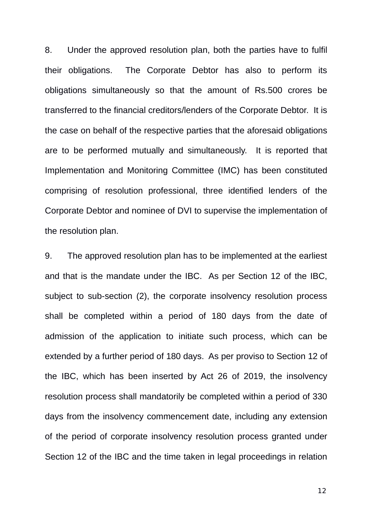8. Under the approved resolution plan, both the parties have to fulfil their obligations. The Corporate Debtor has also to perform its obligations simultaneously so that the amount of Rs.500 crores be transferred to the financial creditors/lenders of the Corporate Debtor. It is the case on behalf of the respective parties that the aforesaid obligations are to be performed mutually and simultaneously. It is reported that Implementation and Monitoring Committee (IMC) has been constituted comprising of resolution professional, three identified lenders of the Corporate Debtor and nominee of DVI to supervise the implementation of the resolution plan.

9. The approved resolution plan has to be implemented at the earliest and that is the mandate under the IBC. As per Section 12 of the IBC, subject to sub-section (2), the corporate insolvency resolution process shall be completed within a period of 180 days from the date of admission of the application to initiate such process, which can be extended by a further period of 180 days. As per proviso to Section 12 of the IBC, which has been inserted by Act 26 of 2019, the insolvency resolution process shall mandatorily be completed within a period of 330 days from the insolvency commencement date, including any extension of the period of corporate insolvency resolution process granted under Section 12 of the IBC and the time taken in legal proceedings in relation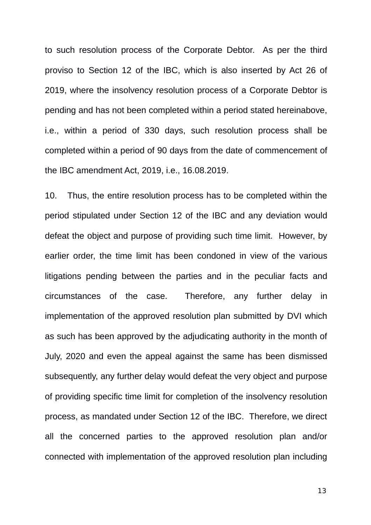to such resolution process of the Corporate Debtor. As per the third proviso to Section 12 of the IBC, which is also inserted by Act 26 of 2019, where the insolvency resolution process of a Corporate Debtor is pending and has not been completed within a period stated hereinabove, i.e., within a period of 330 days, such resolution process shall be completed within a period of 90 days from the date of commencement of the IBC amendment Act, 2019, i.e., 16.08.2019.

10. Thus, the entire resolution process has to be completed within the period stipulated under Section 12 of the IBC and any deviation would defeat the object and purpose of providing such time limit. However, by earlier order, the time limit has been condoned in view of the various litigations pending between the parties and in the peculiar facts and circumstances of the case. Therefore, any further delay in implementation of the approved resolution plan submitted by DVI which as such has been approved by the adjudicating authority in the month of July, 2020 and even the appeal against the same has been dismissed subsequently, any further delay would defeat the very object and purpose of providing specific time limit for completion of the insolvency resolution process, as mandated under Section 12 of the IBC. Therefore, we direct all the concerned parties to the approved resolution plan and/or connected with implementation of the approved resolution plan including